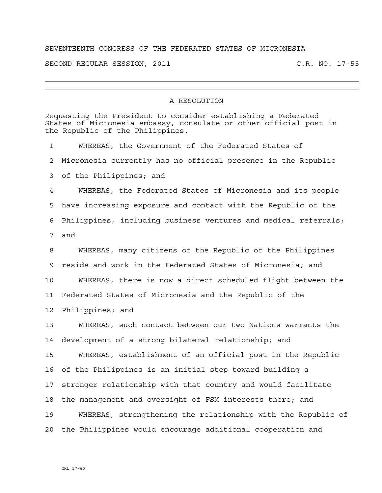## SEVENTEENTH CONGRESS OF THE FEDERATED STATES OF MICRONESIA

SECOND REGULAR SESSION, 2011 C.R. NO. 17-55

## A RESOLUTION

| Requesting the President to consider establishing a Federated<br>States of Micronesia embassy, consulate or other official post in<br>the Republic of the Philippines. |                                                                 |
|------------------------------------------------------------------------------------------------------------------------------------------------------------------------|-----------------------------------------------------------------|
| 1                                                                                                                                                                      | WHEREAS, the Government of the Federated States of              |
| 2                                                                                                                                                                      | Micronesia currently has no official presence in the Republic   |
| 3                                                                                                                                                                      | of the Philippines; and                                         |
| 4                                                                                                                                                                      | WHEREAS, the Federated States of Micronesia and its people      |
| 5                                                                                                                                                                      | have increasing exposure and contact with the Republic of the   |
| 6                                                                                                                                                                      | Philippines, including business ventures and medical referrals; |
| 7                                                                                                                                                                      | and                                                             |
| 8                                                                                                                                                                      | WHEREAS, many citizens of the Republic of the Philippines       |
| 9                                                                                                                                                                      | reside and work in the Federated States of Micronesia; and      |
| 10                                                                                                                                                                     | WHEREAS, there is now a direct scheduled flight between the     |
| 11                                                                                                                                                                     | Federated States of Micronesia and the Republic of the          |
| 12                                                                                                                                                                     | Philippines; and                                                |
| 13                                                                                                                                                                     | WHEREAS, such contact between our two Nations warrants the      |
| 14                                                                                                                                                                     | development of a strong bilateral relationship; and             |
| 15                                                                                                                                                                     | WHEREAS, establishment of an official post in the Republic      |
| 16                                                                                                                                                                     | of the Philippines is an initial step toward building a         |
| 17                                                                                                                                                                     | stronger relationship with that country and would facilitate    |
| 18                                                                                                                                                                     | the management and oversight of FSM interests there; and        |
| 19                                                                                                                                                                     | WHEREAS, strengthening the relationship with the Republic of    |
| 20                                                                                                                                                                     | the Philippines would encourage additional cooperation and      |